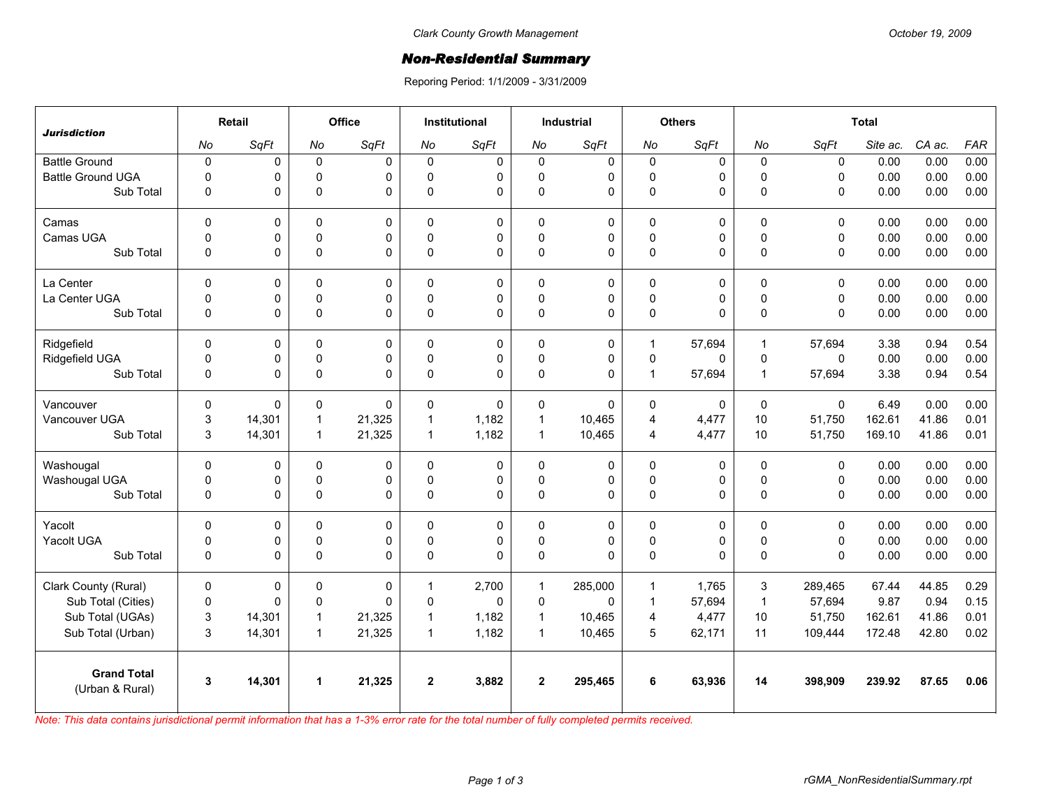## *Non-Residential Summary*

Reporing Period: 1/1/2009 - 3/31/2009

| <b>Jurisdiction</b>                   | Retail       |        | Office               |              | <b>Institutional</b> |             | <b>Industrial</b> |             | <b>Others</b>           |          | <b>Total</b>   |              |          |        |            |
|---------------------------------------|--------------|--------|----------------------|--------------|----------------------|-------------|-------------------|-------------|-------------------------|----------|----------------|--------------|----------|--------|------------|
|                                       | No           | SqFt   | No                   | SqFt         | No                   | SqFt        | No                | SqFt        | No                      | SqFt     | No             | SqFt         | Site ac. | CA ac. | <b>FAR</b> |
| <b>Battle Ground</b>                  | $\pmb{0}$    | 0      | $\mathbf 0$          | $\Omega$     | 0                    | 0           | $\mathbf 0$       | 0           | $\mathbf 0$             | 0        | $\mathbf 0$    | $\mathbf 0$  | 0.00     | 0.00   | 0.00       |
| <b>Battle Ground UGA</b>              | $\Omega$     | 0      | $\mathbf 0$          | $\Omega$     | $\Omega$             | 0           | $\Omega$          | 0           | $\mathbf 0$             | 0        | $\Omega$       | $\mathbf{0}$ | 0.00     | 0.00   | 0.00       |
| Sub Total                             | 0            | 0      | $\mathbf 0$          | $\Omega$     | $\mathbf{0}$         | $\Omega$    | $\pmb{0}$         | $\Omega$    | $\pmb{0}$               | 0        | $\Omega$       | $\mathbf{0}$ | 0.00     | 0.00   | 0.00       |
| Camas                                 | $\Omega$     | 0      | $\Omega$             | $\Omega$     | $\Omega$             | $\mathbf 0$ | $\Omega$          | $\mathbf 0$ | $\Omega$                | 0        | $\Omega$       | $\mathbf{0}$ | 0.00     | 0.00   | 0.00       |
| Camas UGA                             | 0            | 0      | $\pmb{0}$            | 0            | $\Omega$             | 0           | $\pmb{0}$         | 0           | $\pmb{0}$               | 0        | $\mathbf 0$    | $\mathbf 0$  | 0.00     | 0.00   | 0.00       |
| Sub Total                             | $\mathbf 0$  | 0      | $\pmb{0}$            | $\Omega$     | $\Omega$             | $\Omega$    | $\Omega$          | $\Omega$    | $\pmb{0}$               | 0        | $\Omega$       | $\mathbf{0}$ | 0.00     | 0.00   | 0.00       |
| La Center                             | $\mathbf 0$  | 0      | $\mathbf 0$          | $\mathbf 0$  | $\Omega$             | $\mathbf 0$ | $\mathbf 0$       | 0           | $\pmb{0}$               | 0        | $\mathbf 0$    | $\mathbf 0$  | 0.00     | 0.00   | 0.00       |
| La Center UGA                         | 0            | 0      | $\mathbf 0$          | $\mathbf 0$  | $\Omega$             | 0           | $\mathbf 0$       | $\mathbf 0$ | $\mathbf 0$             | 0        | $\pmb{0}$      | $\mathbf 0$  | 0.00     | 0.00   | 0.00       |
| Sub Total                             | $\mathbf 0$  | 0      | $\pmb{0}$            | $\Omega$     | $\Omega$             | 0           | $\pmb{0}$         | $\mathbf 0$ | $\mathbf 0$             | 0        | $\Omega$       | $\mathbf{0}$ | 0.00     | 0.00   | 0.00       |
| Ridgefield                            | $\Omega$     | 0      | 0                    | $\Omega$     | 0                    | 0           | $\Omega$          | 0           | 1                       | 57.694   | $\overline{1}$ | 57.694       | 3.38     | 0.94   | 0.54       |
| Ridgefield UGA                        | 0            | 0      | $\mathsf 0$          | $\mathbf 0$  | $\mathbf 0$          | 0           | $\mathsf 0$       | $\mathsf 0$ | $\pmb{0}$               | 0        | $\pmb{0}$      | $\mathbf 0$  | 0.00     | 0.00   | 0.00       |
| Sub Total                             | $\mathbf 0$  | 0      | $\Omega$             | $\Omega$     | $\mathbf{0}$         | 0           | $\pmb{0}$         | $\Omega$    | $\mathbf{1}$            | 57,694   | $\overline{1}$ | 57,694       | 3.38     | 0.94   | 0.54       |
| Vancouver                             | $\mathbf{0}$ | 0      | $\mathbf 0$          | $\mathbf{0}$ | $\Omega$             | $\Omega$    | $\Omega$          | $\Omega$    | $\Omega$                | $\Omega$ | $\Omega$       | $\Omega$     | 6.49     | 0.00   | 0.00       |
| Vancouver UGA                         | 3            | 14,301 | $\overline{1}$       | 21,325       | $\mathbf 1$          | 1,182       | $\mathbf{1}$      | 10,465      | $\overline{\mathbf{4}}$ | 4,477    | 10             | 51,750       | 162.61   | 41.86  | 0.01       |
| Sub Total                             | 3            | 14,301 | $\overline{1}$       | 21,325       | $\mathbf{1}$         | 1,182       | $\mathbf{1}$      | 10,465      | 4                       | 4,477    | 10             | 51,750       | 169.10   | 41.86  | 0.01       |
| Washougal                             | $\mathbf 0$  | 0      | 0                    | 0            | 0                    | 0           | 0                 | $\mathbf 0$ | 0                       | 0        | $\pmb{0}$      | $\mathbf{0}$ | 0.00     | 0.00   | 0.00       |
| Washougal UGA                         | 0            | 0      | $\pmb{0}$            | $\Omega$     | $\mathbf{0}$         | 0           | $\mathbf 0$       | 0           | $\pmb{0}$               | 0        | $\pmb{0}$      | $\mathbf 0$  | 0.00     | 0.00   | 0.00       |
| Sub Total                             | 0            | 0      | $\pmb{0}$            | $\Omega$     | 0                    | $\Omega$    | $\pmb{0}$         | $\Omega$    | $\pmb{0}$               | 0        | $\pmb{0}$      | $\mathbf 0$  | 0.00     | 0.00   | 0.00       |
| Yacolt                                | $\Omega$     | 0      | $\mathbf 0$          | $\Omega$     | $\Omega$             | 0           | $\Omega$          | 0           | $\mathbf 0$             | 0        | $\Omega$       | $\mathbf{0}$ | 0.00     | 0.00   | 0.00       |
| Yacolt UGA                            | 0            | 0      | $\mathsf 0$          | 0            | $\Omega$             | 0           | 0                 | 0           | $\mathsf 0$             | 0        | $\pmb{0}$      | $\mathsf 0$  | 0.00     | 0.00   | 0.00       |
| Sub Total                             | $\mathbf 0$  | 0      | $\Omega$             | $\Omega$     | $\mathbf{0}$         | $\Omega$    | $\Omega$          | $\Omega$    | $\pmb{0}$               | 0        | $\Omega$       | $\Omega$     | 0.00     | 0.00   | 0.00       |
| Clark County (Rural)                  | $\pmb{0}$    | 0      | 0                    | 0            | 1                    | 2,700       | $\mathbf{1}$      | 285,000     | $\mathbf{1}$            | 1,765    | 3              | 289,465      | 67.44    | 44.85  | 0.29       |
| Sub Total (Cities)                    | $\pmb{0}$    | 0      | $\mathbf 0$          | $\Omega$     | $\Omega$             | $\Omega$    | $\mathbf 0$       | $\Omega$    | $\mathbf{1}$            | 57,694   | $\mathbf{1}$   | 57,694       | 9.87     | 0.94   | 0.15       |
| Sub Total (UGAs)                      | 3            | 14,301 | $\overline{1}$       | 21,325       | $\mathbf 1$          | 1,182       | $\mathbf{1}$      | 10,465      | $\overline{4}$          | 4,477    | 10             | 51,750       | 162.61   | 41.86  | 0.01       |
| Sub Total (Urban)                     | 3            | 14,301 | $\overline{1}$       | 21,325       | $\mathbf{1}$         | 1,182       | $\mathbf{1}$      | 10,465      | 5                       | 62,171   | 11             | 109,444      | 172.48   | 42.80  | 0.02       |
| <b>Grand Total</b><br>(Urban & Rural) | 3            | 14,301 | $\blacktriangleleft$ | 21,325       | $\overline{2}$       | 3,882       | $\mathbf{2}$      | 295,465     | 6                       | 63,936   | 14             | 398,909      | 239.92   | 87.65  | 0.06       |
|                                       |              |        |                      |              |                      |             |                   |             |                         |          |                |              |          |        |            |

*Note: This data contains jurisdictional permit information that has a 1-3% error rate for the total number of fully completed permits received.*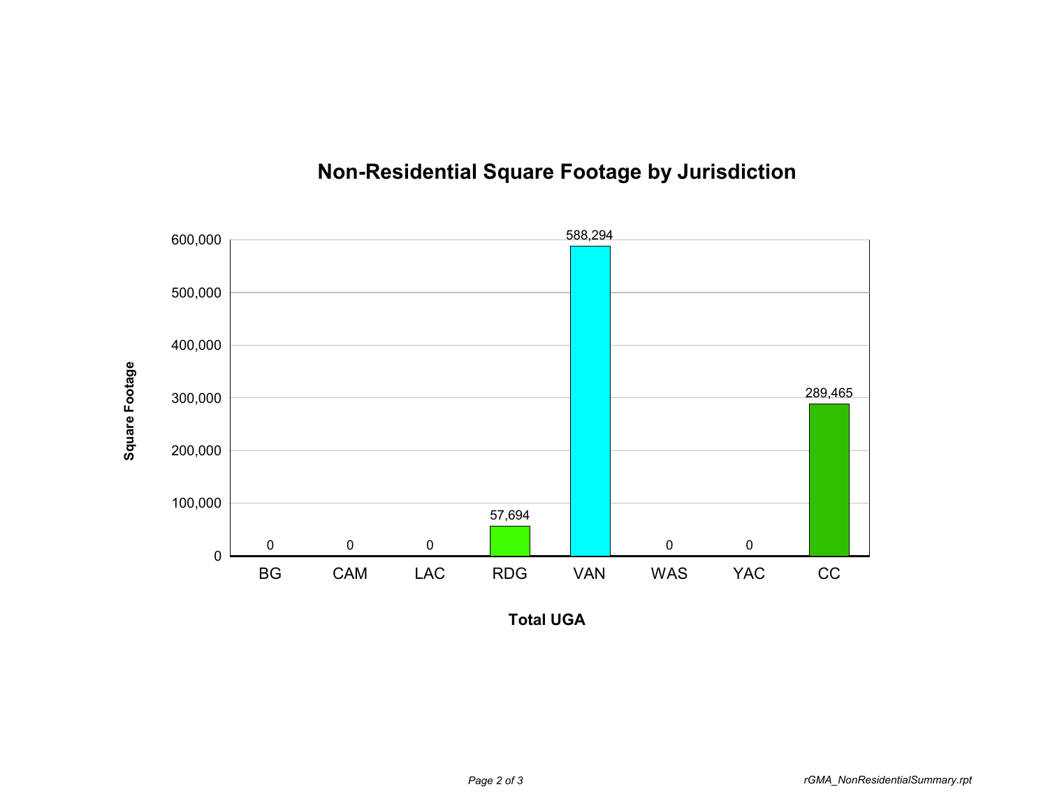

## **Non-Residential Square Footage by Jurisdiction**

**Total UGA**